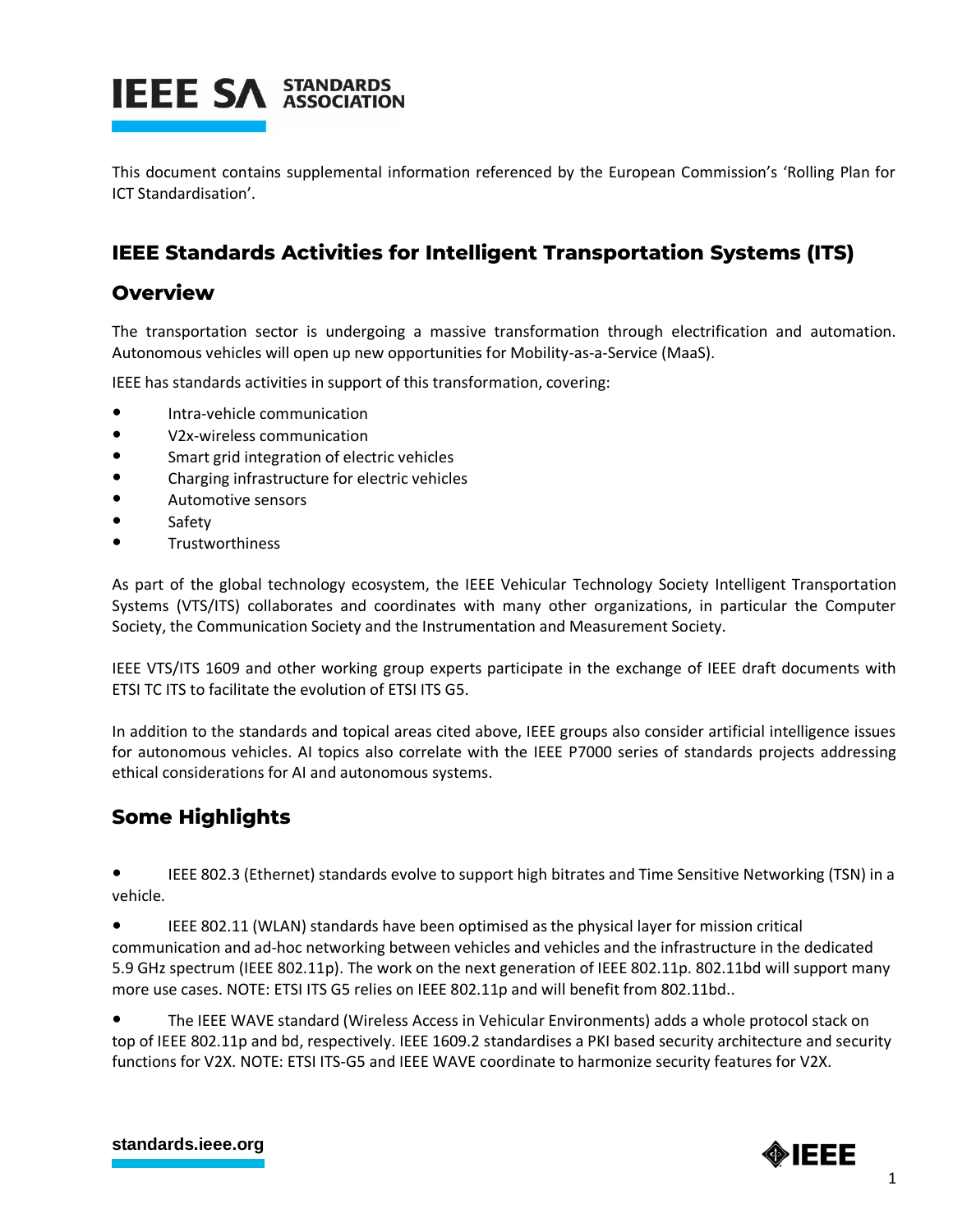

This document contains supplemental information referenced by the European Commission's 'Rolling Plan for ICT Standardisation'.

### **IEEE Standards Activities for Intelligent Transportation Systems (ITS)**

### **Overview**

The transportation sector is undergoing a massive transformation through electrification and automation. Autonomous vehicles will open up new opportunities for Mobility-as-a-Service (MaaS).

IEEE has standards activities in support of this transformation, covering:

- Intra-vehicle communication
- V2x-wireless communication
- Smart grid integration of electric vehicles
- Charging infrastructure for electric vehicles
- Automotive sensors
- Safety
- **Trustworthiness**

As part of the global technology ecosystem, the IEEE Vehicular Technology Society Intelligent Transportation Systems (VTS/ITS) collaborates and coordinates with many other organizations, in particular the Computer Society, the Communication Society and the Instrumentation and Measurement Society.

IEEE VTS/ITS 1609 and other working group experts participate in the exchange of IEEE draft documents with ETSI TC ITS to facilitate the evolution of ETSI ITS G5.

In addition to the standards and topical areas cited above, IEEE groups also consider artificial intelligence issues for autonomous vehicles. AI topics also correlate with the IEEE P7000 series of standards projects addressing ethical considerations for AI and autonomous systems.

### **Some Highlights**

IEEE 802.3 (Ethernet) standards evolve to support high bitrates and Time Sensitive Networking (TSN) in a vehicle.

IEEE 802.11 (WLAN) standards have been optimised as the physical layer for mission critical communication and ad-hoc networking between vehicles and vehicles and the infrastructure in the dedicated 5.9 GHz spectrum (IEEE 802.11p). The work on the next generation of IEEE 802.11p. 802.11bd will support many more use cases. NOTE: ETSI ITS G5 relies on IEEE 802.11p and will benefit from 802.11bd..

The IEEE WAVE standard (Wireless Access in Vehicular Environments) adds a whole protocol stack on top of IEEE 802.11p and bd, respectively. IEEE 1609.2 standardises a PKI based security architecture and security functions for V2X. NOTE: ETSI ITS-G5 and IEEE WAVE coordinate to harmonize security features for V2X.

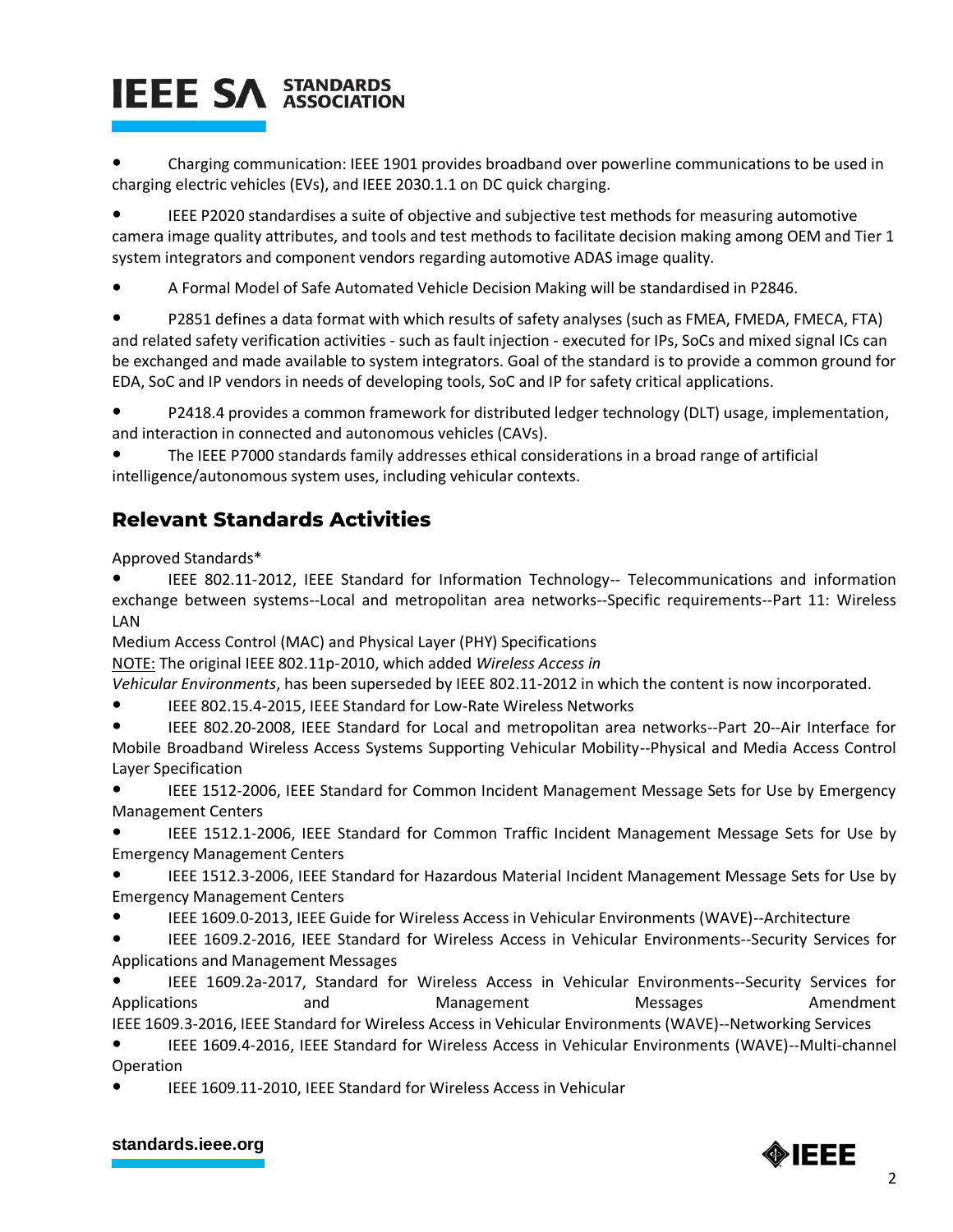# **IEEE SA STANDARDS**

Charging communication: IEEE 1901 provides broadband over powerline communications to be used in charging electric vehicles (EVs), and IEEE 2030.1.1 on DC quick charging.

IEEE P2020 standardises a suite of objective and subjective test methods for measuring automotive camera image quality attributes, and tools and test methods to facilitate decision making among OEM and Tier 1 system integrators and component vendors regarding automotive ADAS image quality.

● A Formal Model of Safe Automated Vehicle Decision Making will be standardised in P2846.

P2851 defines a data format with which results of safety analyses (such as FMEA, FMEDA, FMECA, FTA) and related safety verification activities - such as fault injection - executed for IPs, SoCs and mixed signal ICs can be exchanged and made available to system integrators. Goal of the standard is to provide a common ground for EDA, SoC and IP vendors in needs of developing tools, SoC and IP for safety critical applications.

● P2418.4 provides a common framework for distributed ledger technology (DLT) usage, implementation, and interaction in connected and autonomous vehicles (CAVs).

The IEEE P7000 standards family addresses ethical considerations in a broad range of artificial intelligence/autonomous system uses, including vehicular contexts.

## **Relevant Standards Activities**

Approved Standards\*

IEEE 802.11-2012, IEEE Standard for Information Technology-- Telecommunications and information exchange between systems--Local and metropolitan area networks--Specific requirements--Part 11: Wireless LAN

Medium Access Control (MAC) and Physical Layer (PHY) Specifications

NOTE: The original IEEE 802.11p-2010, which added *Wireless Access in*

*Vehicular Environments*, has been superseded by IEEE 802.11-2012 in which the content is now incorporated.

IEEE 802.15.4-2015, IEEE Standard for Low-Rate Wireless Networks

IEEE 802.20-2008, IEEE Standard for Local and metropolitan area networks--Part 20--Air Interface for Mobile Broadband Wireless Access Systems Supporting Vehicular Mobility--Physical and Media Access Control Layer Specification

● IEEE 1512-2006, IEEE Standard for Common Incident Management Message Sets for Use by Emergency Management Centers

IEEE 1512.1-2006, IEEE Standard for Common Traffic Incident Management Message Sets for Use by Emergency Management Centers

IEEE 1512.3-2006, IEEE Standard for Hazardous Material Incident Management Message Sets for Use by Emergency Management Centers

● IEEE 1609.0-2013, IEEE Guide for Wireless Access in Vehicular Environments (WAVE)--Architecture

IEEE 1609.2-2016, IEEE Standard for Wireless Access in Vehicular Environments--Security Services for Applications and Management Messages

IEEE 1609.2a-2017, Standard for Wireless Access in Vehicular Environments--Security Services for Applications **and** and Management Messages Amendment IEEE 1609.3-2016, IEEE Standard for Wireless Access in Vehicular Environments (WAVE)--Networking Services

● IEEE 1609.4-2016, IEEE Standard for Wireless Access in Vehicular Environments (WAVE)--Multi-channel Operation

IEEE 1609.11-2010, IEEE Standard for Wireless Access in Vehicular

### **[standards.ieee.org](http://standards.ieee.org/)**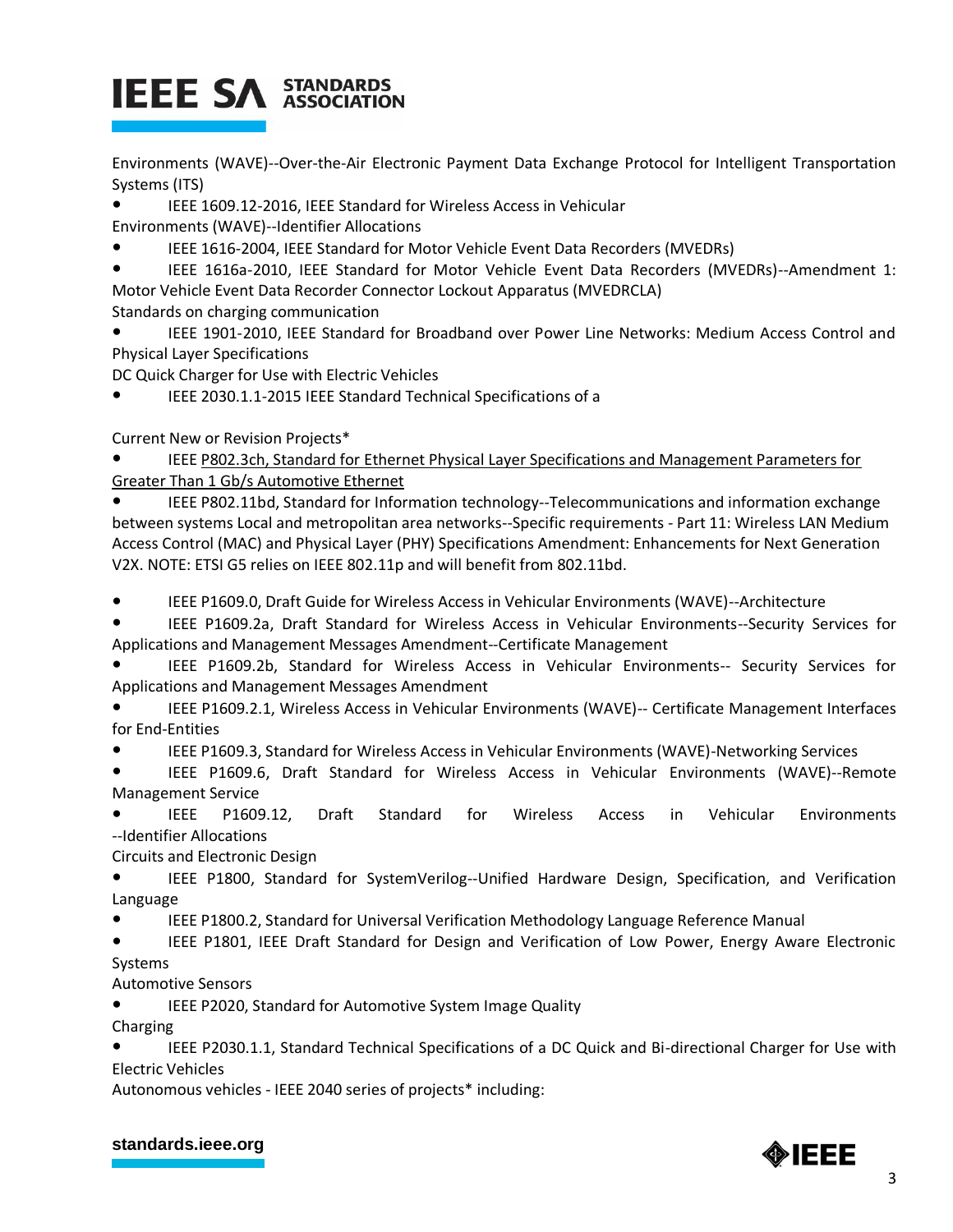# **IEEE SA STANDARDS**

Environments (WAVE)--Over-the-Air Electronic Payment Data Exchange Protocol for Intelligent Transportation Systems (ITS)

● IEEE 1609.12-2016, IEEE Standard for Wireless Access in Vehicular

Environments (WAVE)--Identifier Allocations

- IEEE 1616-2004, IEEE Standard for Motor Vehicle Event Data Recorders (MVEDRs)
- IEEE 1616a-2010, IEEE Standard for Motor Vehicle Event Data Recorders (MVEDRs)--Amendment 1: Motor Vehicle Event Data Recorder Connector Lockout Apparatus (MVEDRCLA)

Standards on charging communication

IEEE 1901-2010, IEEE Standard for Broadband over Power Line Networks: Medium Access Control and Physical Layer Specifications

DC Quick Charger for Use with Electric Vehicles

● IEEE 2030.1.1-2015 IEEE Standard Technical Specifications of a

Current New or Revision Projects\*

IEEE P802.3ch, Standard for Ethernet Physical Layer Specifications and Management Parameters for [Greater Than 1 Gb/s Automotive Ethernet](https://standards.ieee.org/project/802_3ch.html)

IEEE P802.11bd, Standard for Information technology--Telecommunications and information exchange between systems Local and metropolitan area networks--Specific requirements - Part 11: Wireless LAN Medium Access Control (MAC) and Physical Layer (PHY) Specifications Amendment: Enhancements for Next Generation V2X. NOTE: ETSI G5 relies on IEEE 802.11p and will benefit from 802.11bd.

● IEEE P1609.0, Draft Guide for Wireless Access in Vehicular Environments (WAVE)--Architecture

IEEE P1609.2a, Draft Standard for Wireless Access in Vehicular Environments--Security Services for Applications and Management Messages Amendment--Certificate Management

IEEE P1609.2b, Standard for Wireless Access in Vehicular Environments-- Security Services for Applications and Management Messages Amendment

IEEE P1609.2.1, Wireless Access in Vehicular Environments (WAVE)-- Certificate Management Interfaces for End-Entities

● IEEE P1609.3, Standard for Wireless Access in Vehicular Environments (WAVE)-Networking Services

● IEEE P1609.6, Draft Standard for Wireless Access in Vehicular Environments (WAVE)--Remote Management Service

IEEE P1609.12, [Draft Standard for Wireless Access in Vehicular Environments](http://standards.ieee.org/develop/project/1609.12.html) [--Identifier Allocations](http://standards.ieee.org/develop/project/1609.12.html)

Circuits and Electronic Design

IEEE P1800, Standard for SystemVerilog--Unified Hardware Design, Specification, and Verification Language

IEEE P1800.2, Standard for Universal Verification Methodology Language Reference Manual

IEEE P1801, IEEE Draft Standard for Design and Verification of Low Power, Energy Aware Electronic Systems

Automotive Sensors

**IEEE P2020, Standard for Automotive System Image Quality** 

Charging

● IEEE P2030.1.1, Standard Technical Specifications of a DC Quick and Bi-directional Charger for Use with Electric Vehicles

Autonomous vehicles - IEEE 2040 series of projects\* including:

### **[standards.ieee.org](http://standards.ieee.org/)**

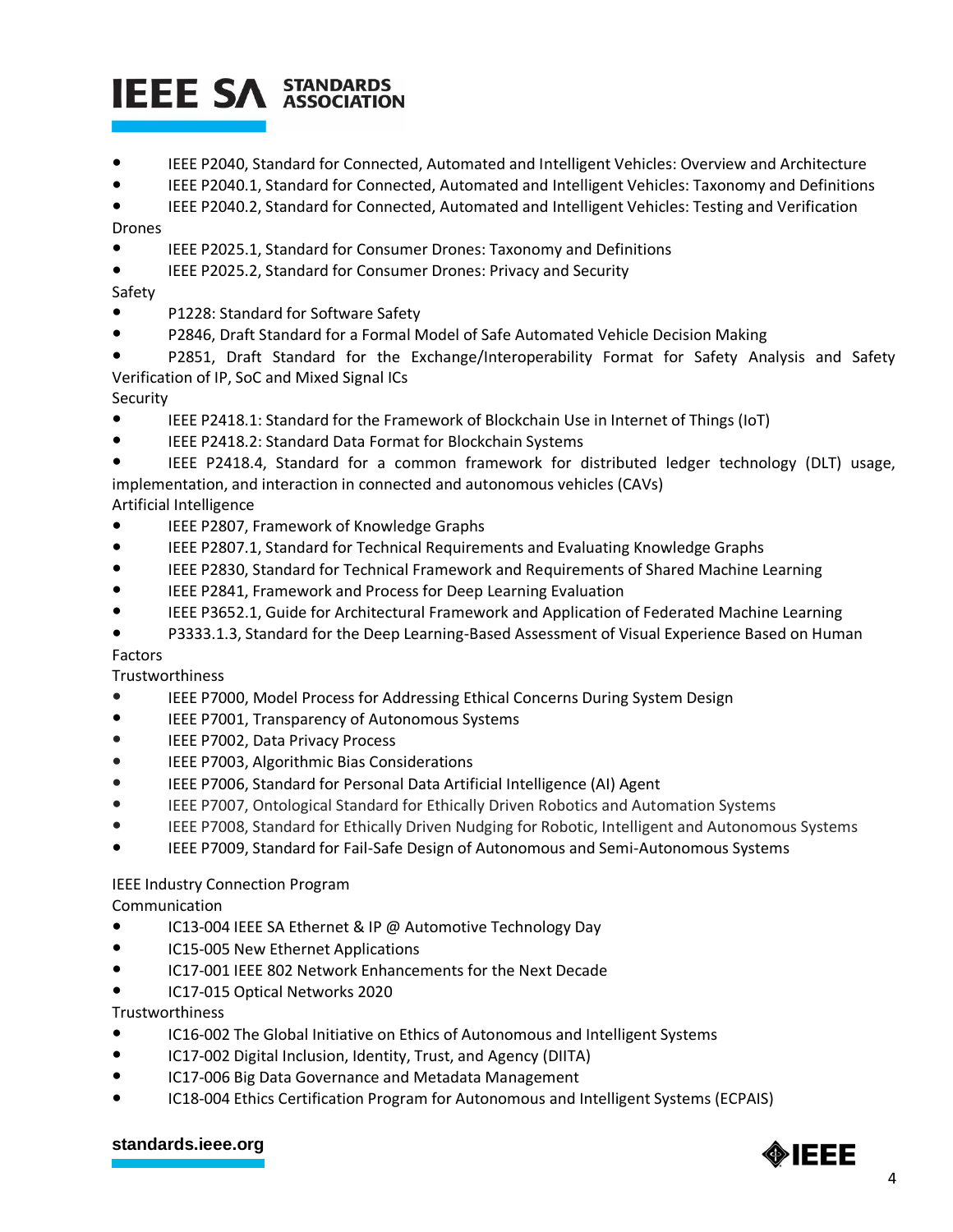# **IEEE SA STANDARDS**

- IEEE P2040, Standard for Connected, Automated and Intelligent Vehicles: Overview and Architecture
- IEEE P2040.1, Standard for Connected, Automated and Intelligent Vehicles: Taxonomy and Definitions

● IEEE P2040.2, Standard for Connected, Automated and Intelligent Vehicles: Testing and Verification Drones

- 
- IEEE P2025.1, Standard for Consumer Drones: Taxonomy and Definitions
- IEEE P2025.2, Standard for Consumer Drones: Privacy and Security

### Safety

- P1228: Standard for Software Safety
- P2846, Draft Standard for a Formal Model of Safe Automated Vehicle Decision Making
- P2851, Draft Standard for the Exchange/Interoperability Format for Safety Analysis and Safety Verification of IP, SoC and Mixed Signal ICs

### Security

- IEEE P2418.1: Standard for the Framework of Blockchain Use in Internet of Things (IoT)
- IEEE P2418.2: Standard Data Format for Blockchain Systems
- IEEE P2418.4, Standard for a common framework for distributed ledger technology (DLT) usage, implementation, and interaction in connected and autonomous vehicles (CAVs)

### Artificial Intelligence

- IEEE P2807, Framework of Knowledge Graphs
- IEEE P2807.1, Standard for Technical Requirements and Evaluating Knowledge Graphs
- IEEE P2830, Standard for Technical Framework and Requirements of Shared Machine Learning
- IEEE P2841, Framework and Process for Deep Learning Evaluation
- IEEE P3652.1, Guide for Architectural Framework and Application of Federated Machine Learning
- [P3333.1.3, Standard for the Deep Learning-Based Assessment of Visual Experience Based on Human](https://standards.ieee.org/project/3333_1_3.html)

### [Factors](https://standards.ieee.org/project/3333_1_3.html)

Trustworthiness

- IEEE [P7000, Model Process for Addressing Ethical Concerns During System Design](https://standards.ieee.org/project/7000.html)
- IEEE [P7001, Transparency of Autonomous Systems](https://standards.ieee.org/project/7001.html)
- IEEE [P7002, Data Privacy Process](https://standards.ieee.org/project/7002.html)
- IEEE [P7003, Algorithmic Bias Considerations](https://standards.ieee.org/project/7003.html)
- IEEE [P7006, Standard for Personal Data Artificial Intelligence \(AI\) Agent](https://standards.ieee.org/project/7006.html)
- IEEE P7007, Ontological Standard for Ethically Driven Robotics and Automation Systems
- IEEE P7008, Standard for Ethically Driven Nudging for Robotic, Intelligent and Autonomous Systems
- IEEE [P7009, Standard for Fail-Safe Design of Autonomous and Semi-Autonomous Systems](https://standards.ieee.org/project/7009.html)

### IEEE Industry Connection Program

Communication

- [IC13-004 IEEE SA Ethernet & IP @ Automotive Technology Day](https://standards.ieee.org/content/dam/ieee-standards/standards/web/governance/iccom/IC13-004-IEEE-SA_Ethernet_And_IP_For_Automotive_Technology_Day.pdf)
- [IC15-005 New Ethernet Applications](https://standards.ieee.org/content/dam/ieee-standards/standards/web/governance/iccom/IC15-005-New_Ethernet_Applications.pdf)
- IC17-001 IEEE [802 Network Enhancements for the Next Decade](https://standards.ieee.org/content/dam/ieee-standards/standards/web/governance/iccom/IC17-001-IE.pdf)
- [IC17-015 Optical Networks 2020](https://standards.ieee.org/content/dam/ieee-standards/standards/web/governance/iccom/IC17-015-Optical_Networks.pdf)

Trustworthiness

- [IC16-002 The Global Initiative on Ethics of Autonomous and Intelligent Systems](https://standards.ieee.org/content/dam/ieee-standards/standards/web/governance/iccom/IC16-002-Global_Initiative_for_Ethical_Considerations_in_the_Design_of_Autonomous_Systems.pdf)
- [IC17-002 Digital Inclusion, Identity, Trust, and Agency](https://standards.ieee.org/content/dam/ieee-standards/standards/web/governance/iccom/IC17-002-Di.pdf) (DIITA)
- [IC17-006 Big Data Governance and Metadata Management](https://standards.ieee.org/content/dam/ieee-standards/standards/web/governance/iccom/IC17-006-Data_Governance_and_Metadata_Management.pdf)
- [IC18-004 Ethics Certification Program for Autonomous and Intelligent Systems \(ECPAIS\)](https://standards.ieee.org/content/dam/ieee-standards/standards/web/governance/iccom/IC18-004-ECPAIS.pdf)

#### **[standards.ieee.org](http://standards.ieee.org/)**